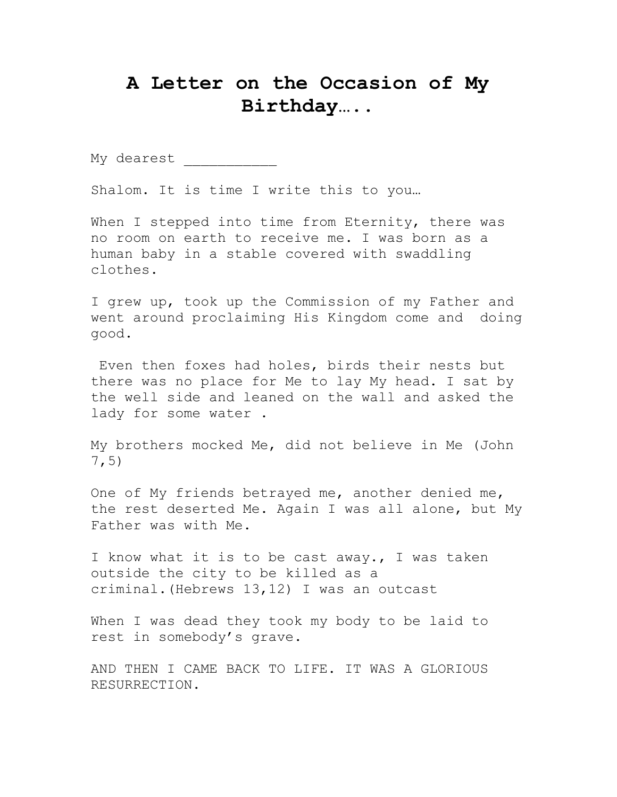## **A Letter on the Occasion of My Birthday…..**

My dearest

Shalom. It is time I write this to you…

When I stepped into time from Eternity, there was no room on earth to receive me. I was born as a human baby in a stable covered with swaddling clothes.

I grew up, took up the Commission of my Father and went around proclaiming His Kingdom come and doing good.

Even then foxes had holes, birds their nests but there was no place for Me to lay My head. I sat by the well side and leaned on the wall and asked the lady for some water .

My brothers mocked Me, did not believe in Me (John 7,5)

One of My friends betrayed me, another denied me, the rest deserted Me. Again I was all alone, but My Father was with Me.

I know what it is to be cast away., I was taken outside the city to be killed as a criminal.(Hebrews 13,12) I was an outcast

When I was dead they took my body to be laid to rest in somebody's grave.

AND THEN I CAME BACK TO LIFE. IT WAS A GLORIOUS RESURRECTION.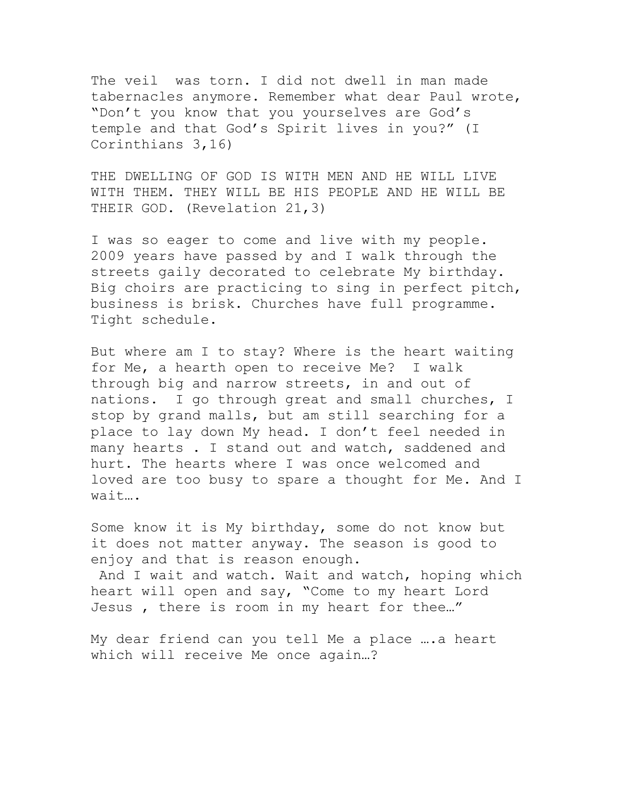The veil was torn. I did not dwell in man made tabernacles anymore. Remember what dear Paul wrote, "Don't you know that you yourselves are God's temple and that God's Spirit lives in you?" (I Corinthians 3,16)

THE DWELLING OF GOD IS WITH MEN AND HE WILL LIVE WITH THEM. THEY WILL BE HIS PEOPLE AND HE WILL BE THEIR GOD. (Revelation 21,3)

I was so eager to come and live with my people. 2009 years have passed by and I walk through the streets gaily decorated to celebrate My birthday. Big choirs are practicing to sing in perfect pitch, business is brisk. Churches have full programme. Tight schedule.

But where am I to stay? Where is the heart waiting for Me, a hearth open to receive Me? I walk through big and narrow streets, in and out of nations. I go through great and small churches, I stop by grand malls, but am still searching for a place to lay down My head. I don't feel needed in many hearts . I stand out and watch, saddened and hurt. The hearts where I was once welcomed and loved are too busy to spare a thought for Me. And I wait….

Some know it is My birthday, some do not know but it does not matter anyway. The season is good to enjoy and that is reason enough.

And I wait and watch. Wait and watch, hoping which heart will open and say, "Come to my heart Lord Jesus , there is room in my heart for thee…"

My dear friend can you tell Me a place ….a heart which will receive Me once again…?